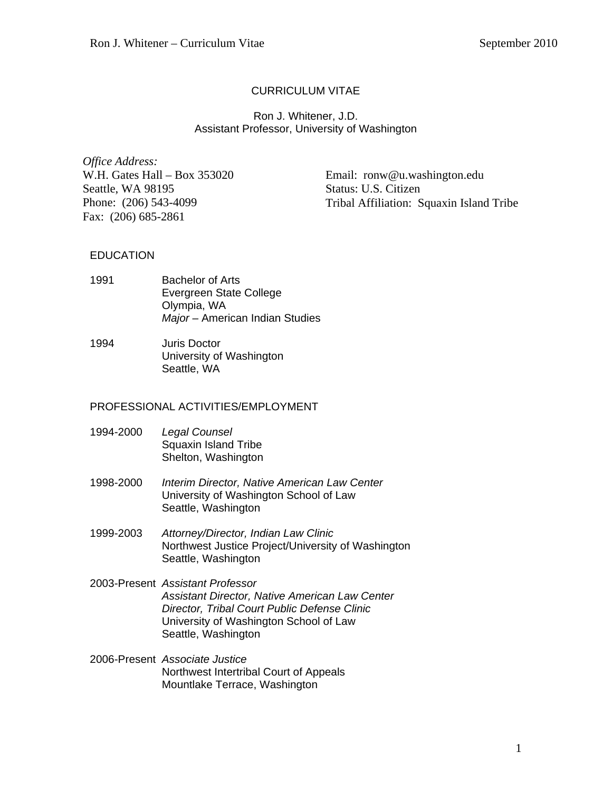# CURRICULUM VITAE

### Ron J. Whitener, J.D. Assistant Professor, University of Washington

*Office Address:*  W.H. Gates Hall – Box 353020 Seattle, WA 98195 Phone: (206) 543-4099 Fax: (206) 685-2861

Email: ronw@u.washington.edu Status: U.S. Citizen Tribal Affiliation: Squaxin Island Tribe

## **EDUCATION**

- 1991 Bachelor of Arts Evergreen State College Olympia, WA *Major –* American Indian Studies
- 1994 Juris Doctor University of Washington Seattle, WA

## PROFESSIONAL ACTIVITIES/EMPLOYMENT

- 1994-2000 *Legal Counsel*  Squaxin Island Tribe Shelton, Washington
- 1998-2000 *Interim Director, Native American Law Center*  University of Washington School of Law Seattle, Washington
- 1999-2003 *Attorney/Director, Indian Law Clinic*  Northwest Justice Project/University of Washington Seattle, Washington
- 2003-Present *Assistant Professor Assistant Director, Native American Law Center Director, Tribal Court Public Defense Clinic*  University of Washington School of Law Seattle, Washington
- 2006-Present *Associate Justice* Northwest Intertribal Court of Appeals Mountlake Terrace, Washington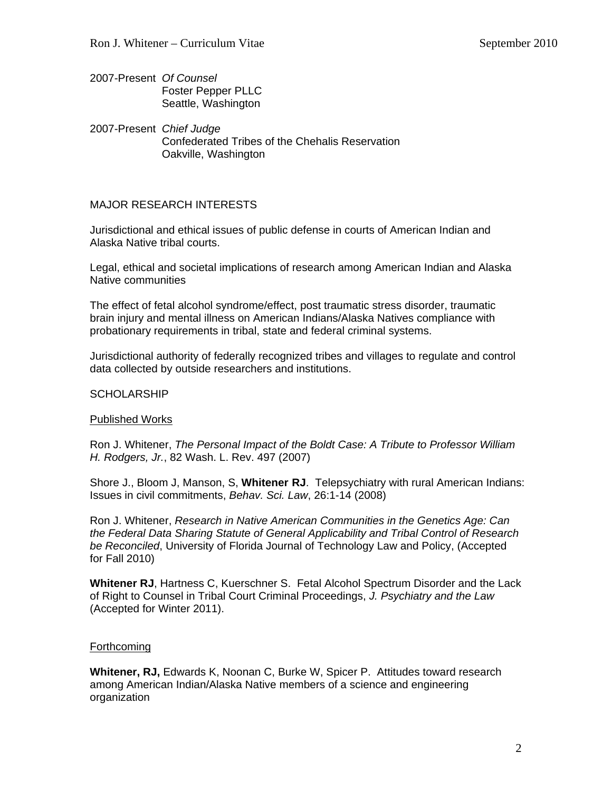- 2007-Present *Of Counsel* Foster Pepper PLLC Seattle, Washington
- 2007-Present *Chief Judge*  Confederated Tribes of the Chehalis Reservation Oakville, Washington

## MAJOR RESEARCH INTERESTS

Jurisdictional and ethical issues of public defense in courts of American Indian and Alaska Native tribal courts.

Legal, ethical and societal implications of research among American Indian and Alaska Native communities

The effect of fetal alcohol syndrome/effect, post traumatic stress disorder, traumatic brain injury and mental illness on American Indians/Alaska Natives compliance with probationary requirements in tribal, state and federal criminal systems.

Jurisdictional authority of federally recognized tribes and villages to regulate and control data collected by outside researchers and institutions.

#### **SCHOLARSHIP**

#### Published Works

Ron J. Whitener, *The Personal Impact of the Boldt Case: A Tribute to Professor William H. Rodgers, Jr.*, 82 Wash. L. Rev. 497 (2007)

Shore J., Bloom J, Manson, S, **Whitener RJ**. Telepsychiatry with rural American Indians: Issues in civil commitments, *Behav. Sci. Law*, 26:1-14 (2008)

Ron J. Whitener, *Research in Native American Communities in the Genetics Age: Can the Federal Data Sharing Statute of General Applicability and Tribal Control of Research be Reconciled*, University of Florida Journal of Technology Law and Policy, (Accepted for Fall 2010)

**Whitener RJ**, Hartness C, Kuerschner S. Fetal Alcohol Spectrum Disorder and the Lack of Right to Counsel in Tribal Court Criminal Proceedings, *J. Psychiatry and the Law* (Accepted for Winter 2011).

#### **Forthcoming**

**Whitener, RJ,** Edwards K, Noonan C, Burke W, Spicer P. Attitudes toward research among American Indian/Alaska Native members of a science and engineering organization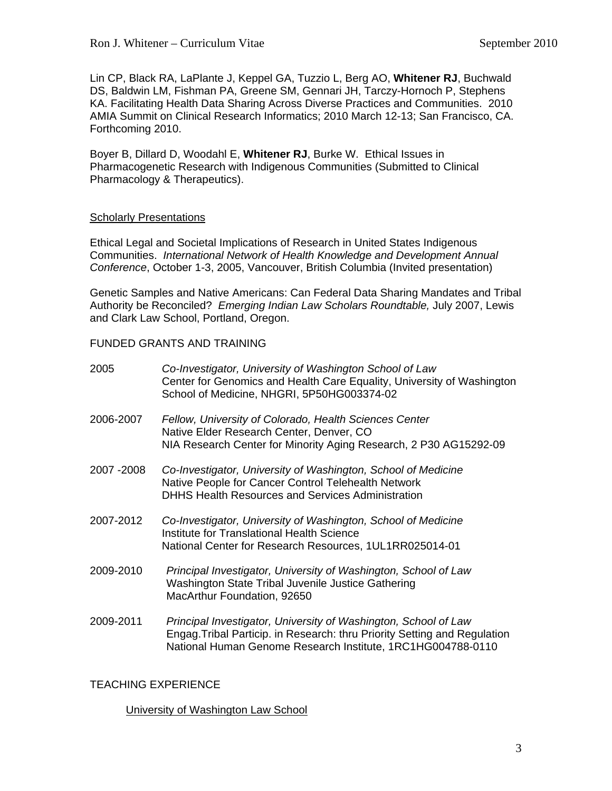Lin CP, Black RA, LaPlante J, Keppel GA, Tuzzio L, Berg AO, **Whitener RJ**, Buchwald DS, Baldwin LM, Fishman PA, Greene SM, Gennari JH, Tarczy-Hornoch P, Stephens KA. Facilitating Health Data Sharing Across Diverse Practices and Communities. 2010 AMIA Summit on Clinical Research Informatics; 2010 March 12-13; San Francisco, CA. Forthcoming 2010.

Boyer B, Dillard D, Woodahl E, **Whitener RJ**, Burke W. Ethical Issues in Pharmacogenetic Research with Indigenous Communities (Submitted to Clinical Pharmacology & Therapeutics).

### Scholarly Presentations

Ethical Legal and Societal Implications of Research in United States Indigenous Communities. *International Network of Health Knowledge and Development Annual Conference*, October 1-3, 2005, Vancouver, British Columbia (Invited presentation)

Genetic Samples and Native Americans: Can Federal Data Sharing Mandates and Tribal Authority be Reconciled? *Emerging Indian Law Scholars Roundtable,* July 2007, Lewis and Clark Law School, Portland, Oregon.

## FUNDED GRANTS AND TRAINING

| 2005        | Co-Investigator, University of Washington School of Law<br>Center for Genomics and Health Care Equality, University of Washington<br>School of Medicine, NHGRI, 5P50HG003374-02                             |
|-------------|-------------------------------------------------------------------------------------------------------------------------------------------------------------------------------------------------------------|
| 2006-2007   | Fellow, University of Colorado, Health Sciences Center<br>Native Elder Research Center, Denver, CO<br>NIA Research Center for Minority Aging Research, 2 P30 AG15292-09                                     |
| 2007 - 2008 | Co-Investigator, University of Washington, School of Medicine<br>Native People for Cancer Control Telehealth Network<br><b>DHHS Health Resources and Services Administration</b>                            |
| 2007-2012   | Co-Investigator, University of Washington, School of Medicine<br>Institute for Translational Health Science<br>National Center for Research Resources, 1UL1RR025014-01                                      |
| 2009-2010   | Principal Investigator, University of Washington, School of Law<br>Washington State Tribal Juvenile Justice Gathering<br>MacArthur Foundation, 92650                                                        |
| 2009-2011   | Principal Investigator, University of Washington, School of Law<br>Engag. Tribal Particip. in Research: thru Priority Setting and Regulation<br>National Human Genome Research Institute, 1RC1HG004788-0110 |

## TEACHING EXPERIENCE

#### University of Washington Law School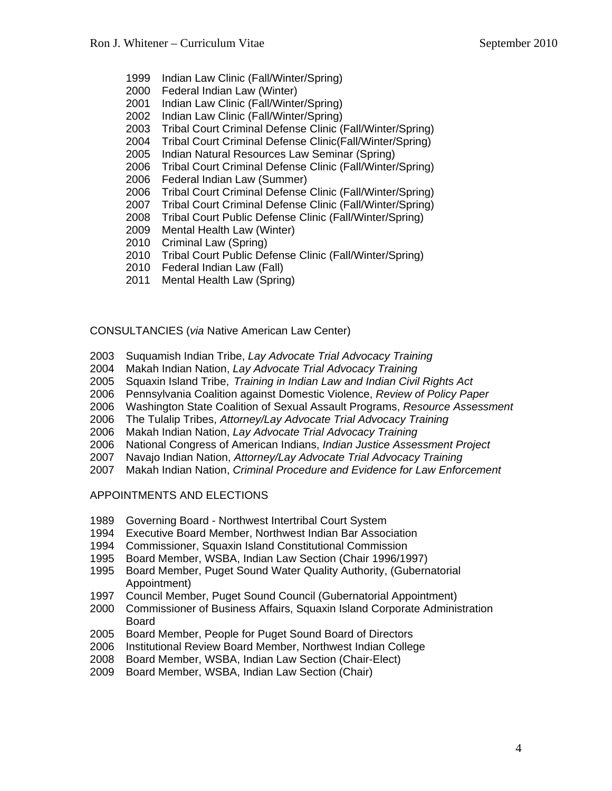- 1999 Indian Law Clinic (Fall/Winter/Spring)
- 2000 Federal Indian Law (Winter)
- 2001 Indian Law Clinic (Fall/Winter/Spring)
- 2002 Indian Law Clinic (Fall/Winter/Spring)
- 2003 Tribal Court Criminal Defense Clinic (Fall/Winter/Spring)
- 2004 Tribal Court Criminal Defense Clinic(Fall/Winter/Spring)
- 2005 Indian Natural Resources Law Seminar (Spring)
- 2006 Tribal Court Criminal Defense Clinic (Fall/Winter/Spring)
- 2006 Federal Indian Law (Summer)
- 2006 Tribal Court Criminal Defense Clinic (Fall/Winter/Spring)
- 2007 Tribal Court Criminal Defense Clinic (Fall/Winter/Spring)
- 2008 Tribal Court Public Defense Clinic (Fall/Winter/Spring)
- 2009 Mental Health Law (Winter)
- 2010 Criminal Law (Spring)
- 2010 Tribal Court Public Defense Clinic (Fall/Winter/Spring)
- 2010 Federal Indian Law (Fall)
- 2011 Mental Health Law (Spring)

### CONSULTANCIES (*via* Native American Law Center)

- 2003 Suquamish Indian Tribe, *Lay Advocate Trial Advocacy Training*
- 2004 Makah Indian Nation, *Lay Advocate Trial Advocacy Training*
- 2005 Squaxin Island Tribe, *Training in Indian Law and Indian Civil Rights Act*
- 2006 Pennsylvania Coalition against Domestic Violence, *Review of Policy Paper*
- 2006 Washington State Coalition of Sexual Assault Programs, *Resource Assessment*
- 2006 The Tulalip Tribes, *Attorney/Lay Advocate Trial Advocacy Training*
- 2006 Makah Indian Nation, *Lay Advocate Trial Advocacy Training*
- 2006 National Congress of American Indians, *Indian Justice Assessment Project*
- 2007 Navajo Indian Nation, *Attorney/Lay Advocate Trial Advocacy Training*
- 2007 Makah Indian Nation, *Criminal Procedure and Evidence for Law Enforcement*

#### APPOINTMENTS AND ELECTIONS

- 1989 Governing Board Northwest Intertribal Court System
- 1994 Executive Board Member, Northwest Indian Bar Association
- 1994 Commissioner, Squaxin Island Constitutional Commission
- 1995 Board Member, WSBA, Indian Law Section (Chair 1996/1997)
- 1995 Board Member, Puget Sound Water Quality Authority, (Gubernatorial Appointment)
- 1997 Council Member, Puget Sound Council (Gubernatorial Appointment)
- 2000 Commissioner of Business Affairs, Squaxin Island Corporate Administration Board
- 2005 Board Member, People for Puget Sound Board of Directors
- 2006 Institutional Review Board Member, Northwest Indian College
- 2008 Board Member, WSBA, Indian Law Section (Chair-Elect)
- 2009 Board Member, WSBA, Indian Law Section (Chair)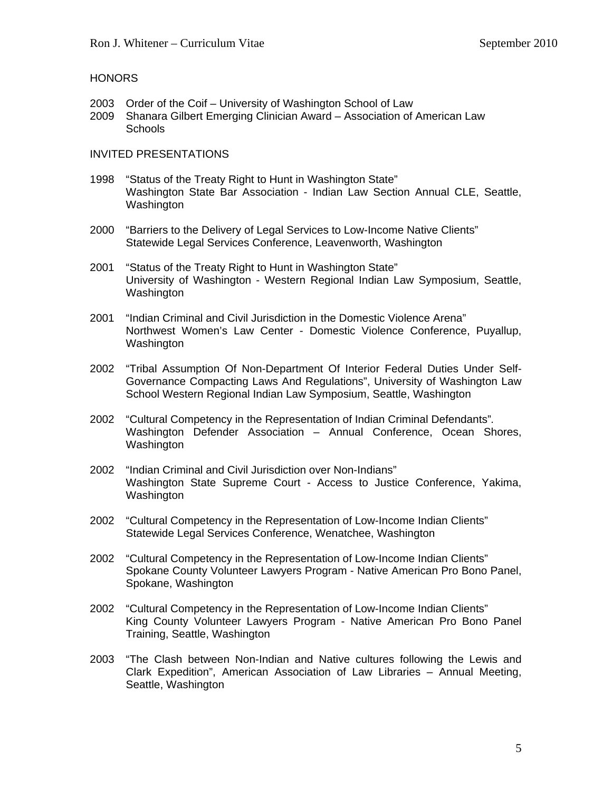### HONORS

- 2003 Order of the Coif University of Washington School of Law
- 2009 Shanara Gilbert Emerging Clinician Award Association of American Law **Schools**

### INVITED PRESENTATIONS

- 1998 "Status of the Treaty Right to Hunt in Washington State" Washington State Bar Association - Indian Law Section Annual CLE, Seattle, Washington
- 2000 "Barriers to the Delivery of Legal Services to Low-Income Native Clients" Statewide Legal Services Conference, Leavenworth, Washington
- 2001 "Status of the Treaty Right to Hunt in Washington State" University of Washington - Western Regional Indian Law Symposium, Seattle, Washington
- 2001 "Indian Criminal and Civil Jurisdiction in the Domestic Violence Arena" Northwest Women's Law Center - Domestic Violence Conference, Puyallup, Washington
- 2002 "Tribal Assumption Of Non-Department Of Interior Federal Duties Under Self- Governance Compacting Laws And Regulations", University of Washington Law School Western Regional Indian Law Symposium, Seattle, Washington
- 2002 "Cultural Competency in the Representation of Indian Criminal Defendants"*.*  Washington Defender Association – Annual Conference, Ocean Shores, Washington
- 2002 "Indian Criminal and Civil Jurisdiction over Non-Indians" Washington State Supreme Court - Access to Justice Conference, Yakima, Washington
- 2002 "Cultural Competency in the Representation of Low-Income Indian Clients" Statewide Legal Services Conference, Wenatchee, Washington
- 2002 "Cultural Competency in the Representation of Low-Income Indian Clients" Spokane County Volunteer Lawyers Program - Native American Pro Bono Panel, Spokane, Washington
- 2002 "Cultural Competency in the Representation of Low-Income Indian Clients" King County Volunteer Lawyers Program - Native American Pro Bono Panel Training, Seattle, Washington
- 2003 "The Clash between Non-Indian and Native cultures following the Lewis and Clark Expedition", American Association of Law Libraries – Annual Meeting, Seattle, Washington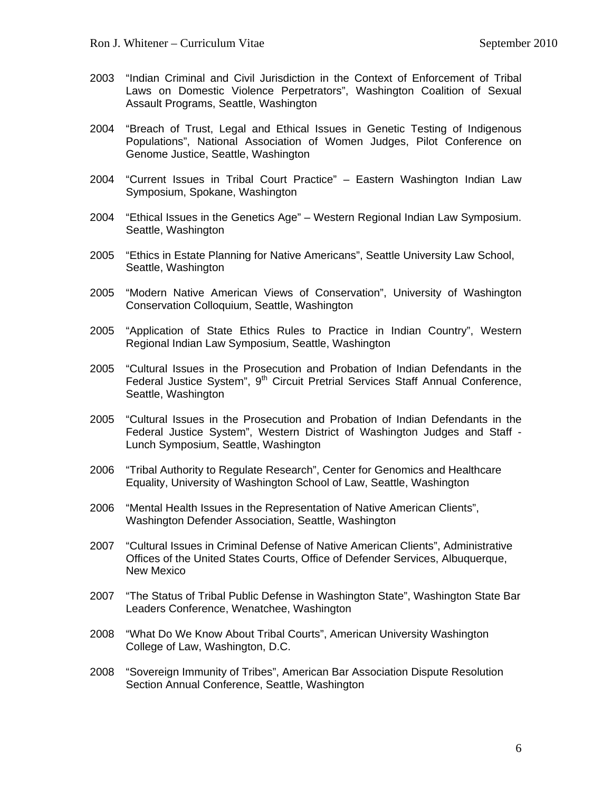- 2003 "Indian Criminal and Civil Jurisdiction in the Context of Enforcement of Tribal Laws on Domestic Violence Perpetrators", Washington Coalition of Sexual Assault Programs, Seattle, Washington
- 2004 "Breach of Trust, Legal and Ethical Issues in Genetic Testing of Indigenous Populations", National Association of Women Judges, Pilot Conference on Genome Justice, Seattle, Washington
- 2004 "Current Issues in Tribal Court Practice" Eastern Washington Indian Law Symposium, Spokane, Washington
- 2004 "Ethical Issues in the Genetics Age" Western Regional Indian Law Symposium. Seattle, Washington
- 2005 "Ethics in Estate Planning for Native Americans", Seattle University Law School, Seattle, Washington
- 2005 "Modern Native American Views of Conservation", University of Washington Conservation Colloquium, Seattle, Washington
- 2005 "Application of State Ethics Rules to Practice in Indian Country", Western Regional Indian Law Symposium, Seattle, Washington
- 2005 "Cultural Issues in the Prosecution and Probation of Indian Defendants in the Federal Justice System", 9<sup>th</sup> Circuit Pretrial Services Staff Annual Conference, Seattle, Washington
- 2005 "Cultural Issues in the Prosecution and Probation of Indian Defendants in the Federal Justice System", Western District of Washington Judges and Staff - Lunch Symposium, Seattle, Washington
- 2006 "Tribal Authority to Regulate Research", Center for Genomics and Healthcare Equality, University of Washington School of Law, Seattle, Washington
- 2006 "Mental Health Issues in the Representation of Native American Clients", Washington Defender Association, Seattle, Washington
- 2007 "Cultural Issues in Criminal Defense of Native American Clients", Administrative Offices of the United States Courts, Office of Defender Services, Albuquerque, New Mexico
- 2007 "The Status of Tribal Public Defense in Washington State", Washington State Bar Leaders Conference, Wenatchee, Washington
- 2008 "What Do We Know About Tribal Courts", American University Washington College of Law, Washington, D.C.
- 2008 "Sovereign Immunity of Tribes", American Bar Association Dispute Resolution Section Annual Conference, Seattle, Washington